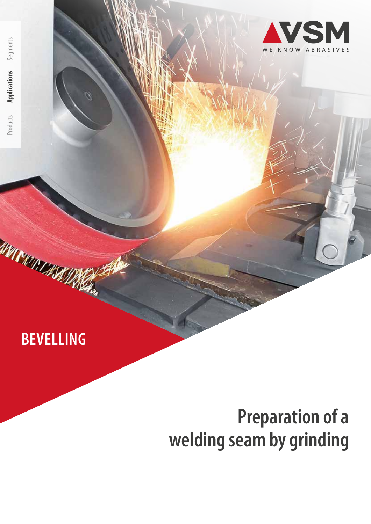# **BEVELLING**

**AYAT CAPITAL ASSESS** 

# **Preparation of a welding seam by grinding**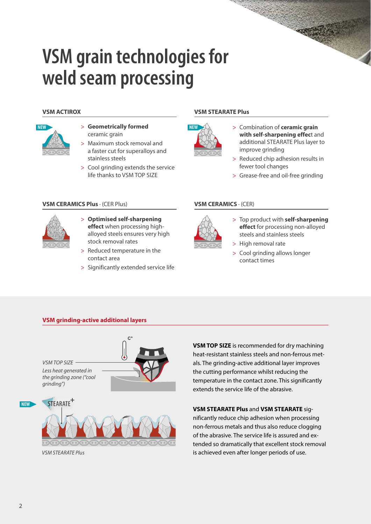# **VSM grain technologies for weld seam processing**

#### **VSM ACTIROX**



- > **Geometrically formed**  ceramic grain
- > Maximum stock removal and a faster cut for superalloys and stainless steels
- > Cool grinding extends the service life thanks to VSM TOP SIZE

### **VSM CERAMICS Plus** · (CER Plus)



- > **Optimised self-sharpening effect** when processing highalloyed steels ensures very high stock removal rates
- > Reduced temperature in the contact area
- > Significantly extended service life

#### **VSM STEARATE Plus**



- > Combination of **ceramic grain with self-sharpening effec**t and additional STEARATE Plus layer to improve grinding
- > Reduced chip adhesion results in fewer tool changes
- > Grease-free and oil-free grinding

#### **VSM CERAMICS** · (CER)



- > Top product with **self-sharpening effect** for processing non-alloyed steels and stainless steels
- > High removal rate

> Cool grinding allows longer contact times

### **VSM grinding-active additional layers**



**VSM TOP SIZE** is recommended for dry machining heat-resistant stainless steels and non-ferrous metals. The grinding-active additional layer improves the cutting performance whilst reducing the temperature in the contact zone. This significantly extends the service life of the abrasive.

#### **VSM STEARATE Plus** and **VSM STEARATE** sig-

nificantly reduce chip adhesion when processing non-ferrous metals and thus also reduce clogging of the abrasive. The service life is assured and extended so dramatically that excellent stock removal is achieved even after longer periods of use.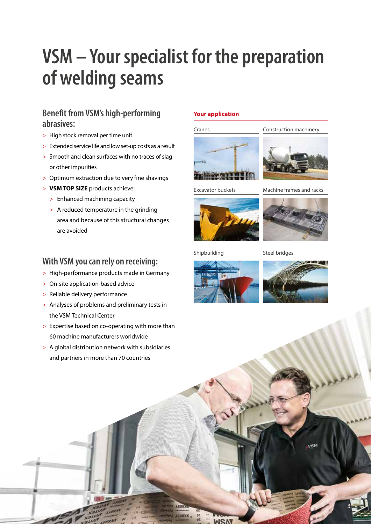# **VSM – Your specialist for the preparation of welding seams**

# **Benefit from VSM's high-performing abrasives:**

- > High stock removal per time unit
- > Extended service life and low set-up costs as a result
- > Smooth and clean surfaces with no traces of slag or other impurities
- > Optimum extraction due to very fine shavings
- > **VSM TOP SIZE** products achieve:
	- > Enhanced machining capacity
	- > A reduced temperature in the grinding area and because of this structural changes are avoided

## **With VSM you can rely on receiving:**

- > High-performance products made in Germany
- > On-site application-based advice
- > Reliable delivery performance
- > Analyses of problems and preliminary tests in the VSM Technical Center
- > Expertise based on co-operating with more than 60 machine manufacturers worldwide
- > A global distribution network with subsidiaries and partners in more than 70 countries

### **Your application**



Construction machinery

Excavator buckets



Machine frames and racks

Shipbuilding

Steel bridges





3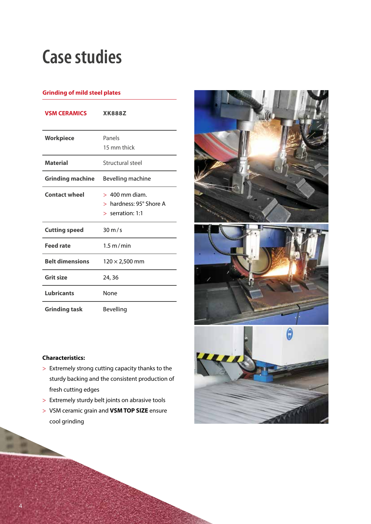# **Case studies**

### **Grinding of mild steel plates**

| <b>VSM CERAMICS</b>    | <b>XK888Z</b>                                                                |
|------------------------|------------------------------------------------------------------------------|
| <b>Workpiece</b>       | Panels<br>15 mm thick                                                        |
| <b>Material</b>        | Structural steel                                                             |
| Grinding machine       | Bevelling machine                                                            |
| <b>Contact wheel</b>   | $>400$ mm diam.<br>$>$ hardness: 95 $^{\circ}$ Shore A<br>$>$ serration: 1:1 |
| <b>Cutting speed</b>   | $30 \text{ m/s}$                                                             |
| <b>Feed rate</b>       | $1.5 \text{ m/min}$                                                          |
| <b>Belt dimensions</b> | $120 \times 2,500$ mm                                                        |
| <b>Grit size</b>       | 24, 36                                                                       |
| <b>Lubricants</b>      | None                                                                         |
| <b>Grinding task</b>   | Bevelling                                                                    |



### **Characteristics:**

- > Extremely strong cutting capacity thanks to the sturdy backing and the consistent production of fresh cutting edges
- > Extremely sturdy belt joints on abrasive tools
- > VSM ceramic grain and **VSM TOP SIZE** ensure cool grinding

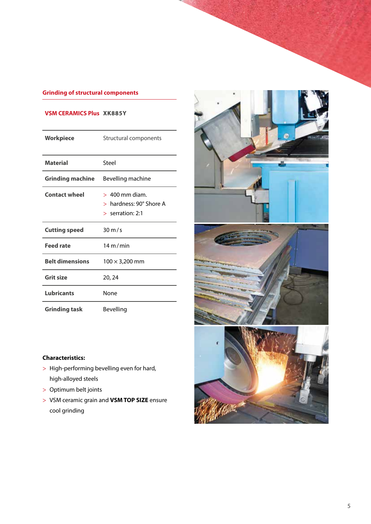## **Grinding of structural components**

### **VSM CERAMICS Plus XK885Y**

| Workpiece               | Structural components                                                        |
|-------------------------|------------------------------------------------------------------------------|
| <b>Material</b>         | Steel                                                                        |
| <b>Grinding machine</b> | Bevelling machine                                                            |
| <b>Contact wheel</b>    | $>400$ mm diam.<br>$>$ hardness: 90 $^{\circ}$ Shore A<br>$>$ serration: 2:1 |
| <b>Cutting speed</b>    | $30 \text{ m/s}$                                                             |
| <b>Feed rate</b>        | 14 m/min                                                                     |
| <b>Belt dimensions</b>  | $100 \times 3,200$ mm                                                        |
| <b>Grit size</b>        | 20, 24                                                                       |
| <b>Lubricants</b>       | None                                                                         |
| <b>Grinding task</b>    | Bevelling                                                                    |



### **Characteristics:**

- > High-performing bevelling even for hard, high-alloyed steels
- > Optimum belt joints
- > VSM ceramic grain and **VSM TOP SIZE** ensure cool grinding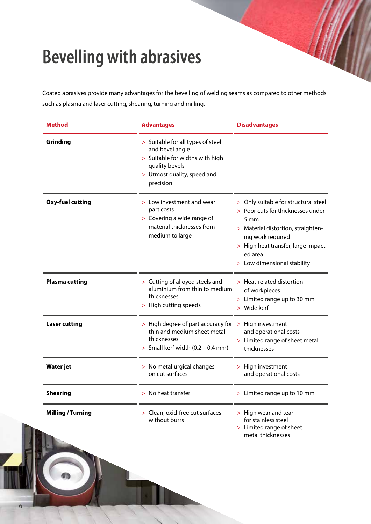# **Bevelling with abrasives**

Coated abrasives provide many advantages for the bevelling of welding seams as compared to other methods such as plasma and laser cutting, shearing, turning and milling.

| <b>Method</b>            | <b>Advantages</b>                                                                                                                                     | <b>Disadvantages</b>                                                                                                                                                                                                          |  |  |  |  |  |  |
|--------------------------|-------------------------------------------------------------------------------------------------------------------------------------------------------|-------------------------------------------------------------------------------------------------------------------------------------------------------------------------------------------------------------------------------|--|--|--|--|--|--|
| Grinding                 | > Suitable for all types of steel<br>and bevel angle<br>> Suitable for widths with high<br>quality bevels<br>> Utmost quality, speed and<br>precision |                                                                                                                                                                                                                               |  |  |  |  |  |  |
| <b>Oxy-fuel cutting</b>  | > Low investment and wear<br>part costs<br>> Covering a wide range of<br>material thicknesses from<br>medium to large                                 | > Only suitable for structural steel<br>> Poor cuts for thicknesses under<br>5 mm<br>> Material distortion, straighten-<br>ing work required<br>> High heat transfer, large impact-<br>ed area<br>> Low dimensional stability |  |  |  |  |  |  |
| <b>Plasma cutting</b>    | > Cutting of alloyed steels and<br>aluminium from thin to medium<br>thicknesses<br>> High cutting speeds                                              | > Heat-related distortion<br>of workpieces<br>> Limited range up to 30 mm<br>> Wide kerf                                                                                                                                      |  |  |  |  |  |  |
| <b>Laser cutting</b>     | > High degree of part accuracy for<br>thin and medium sheet metal<br>thicknesses<br>> Small kerf width $(0.2 - 0.4$ mm)                               | High investment<br>$\geq$<br>and operational costs<br>> Limited range of sheet metal<br>thicknesses                                                                                                                           |  |  |  |  |  |  |
| <b>Water jet</b>         | > No metallurgical changes<br>on cut surfaces                                                                                                         | > High investment<br>and operational costs                                                                                                                                                                                    |  |  |  |  |  |  |
| <b>Shearing</b>          | $>$ No heat transfer                                                                                                                                  | > Limited range up to 10 mm                                                                                                                                                                                                   |  |  |  |  |  |  |
| <b>Milling / Turning</b> | > Clean, oxid-free cut surfaces<br>without burrs                                                                                                      | > High wear and tear<br>for stainless steel<br>> Limited range of sheet<br>metal thicknesses                                                                                                                                  |  |  |  |  |  |  |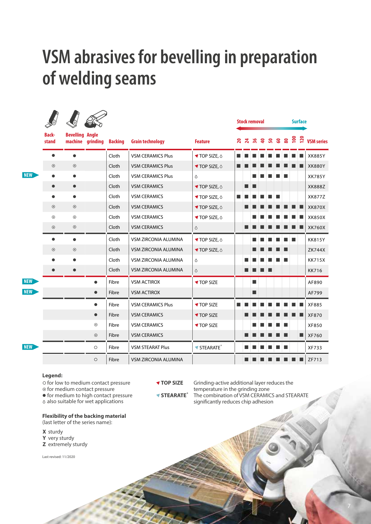# **VSM abrasives for bevelling in preparation of welding seams**

|            |                       |                                   |                     |                |                             |                       | <b>Stock removal</b> |   |   |                                            | <b>Surface</b> |  |  |  |                   |
|------------|-----------------------|-----------------------------------|---------------------|----------------|-----------------------------|-----------------------|----------------------|---|---|--------------------------------------------|----------------|--|--|--|-------------------|
|            | <b>Back-</b><br>stand | <b>Bevelling Angle</b><br>machine | grinding            | <b>Backing</b> | <b>Grain technology</b>     | <b>Feature</b>        |                      |   |   | <b>A A A &amp; A &amp; &amp; &amp; A A</b> |                |  |  |  | <b>VSM series</b> |
|            | $\bullet$             | $\bullet$                         |                     | Cloth          | <b>VSM CERAMICS Plus</b>    | <b>TOP SIZE, ∂</b>    |                      |   |   |                                            |                |  |  |  | XK885Y            |
|            | $\odot$               | $\odot$                           |                     | Cloth          | <b>VSM CERAMICS Plus</b>    | <b>TOP SIZE, Ô</b>    |                      |   |   |                                            |                |  |  |  | <b>XK880Y</b>     |
| <b>NEW</b> |                       | $\bullet$                         |                     | Cloth          | <b>VSM CERAMICS Plus</b>    | ♦                     |                      |   |   |                                            |                |  |  |  | <b>XK785Y</b>     |
|            | $\bullet$             | $\bullet$                         |                     | Cloth          | <b>VSM CERAMICS</b>         | <b>TOP SIZE, ∂</b>    |                      | ▬ |   |                                            |                |  |  |  | XK888Z            |
|            | $\bullet$             | $\bullet$                         |                     | Cloth          | <b>VSM CERAMICS</b>         | <b>TOP SIZE, ∂</b>    |                      |   |   |                                            |                |  |  |  | XK877Z            |
|            | $\odot$               | $\odot$                           |                     | Cloth          | <b>VSM CERAMICS</b>         | <b>TOP SIZE, ∂</b>    |                      |   |   |                                            |                |  |  |  | <b>XK870X</b>     |
|            | $\odot$               | $\odot$                           |                     | Cloth          | <b>VSM CERAMICS</b>         | <b>TOP SIZE, ∂</b>    |                      |   |   |                                            |                |  |  |  | XK850X            |
|            | $\odot$               | $\odot$                           |                     | Cloth          | <b>VSM CERAMICS</b>         | $\Diamond$            |                      |   |   |                                            |                |  |  |  | <b>XK760X</b>     |
|            | $\bullet$             |                                   |                     | Cloth          | VSM ZIRCONIA ALUMINA        | <b>TOP SIZE, Ô</b>    |                      |   |   |                                            |                |  |  |  | <b>KK815Y</b>     |
|            | $\odot$               | $\odot$                           |                     | Cloth          | VSM ZIRCONIA ALUMINA        | <b>TOP SIZE, ∂</b>    |                      |   |   |                                            |                |  |  |  | <b>ZK744X</b>     |
|            |                       | ●                                 |                     | Cloth          | <b>VSM ZIRCONIA ALUMINA</b> | ♦                     |                      |   |   |                                            |                |  |  |  | <b>KK715X</b>     |
|            |                       |                                   |                     | Cloth          | VSM ZIRCONIA ALUMINA        | $\Diamond$            |                      |   |   |                                            |                |  |  |  | <b>KK716</b>      |
| <b>NEW</b> |                       |                                   | $\bullet$           | Fibre          | <b>VSM ACTIROX</b>          | <b>▼ TOP SIZE</b>     |                      |   | ■ |                                            |                |  |  |  | AF890             |
| <b>NEW</b> |                       |                                   | $\bullet$           | Fibre          | <b>VSM ACTIROX</b>          |                       |                      |   | ■ |                                            |                |  |  |  | AF799             |
|            |                       |                                   | $\bullet$           | Fibre          | <b>VSM CERAMICS Plus</b>    | <b>TOP SIZE</b>       |                      |   |   |                                            |                |  |  |  | <b>XF885</b>      |
|            |                       |                                   | $\bullet$           | Fibre          | <b>VSM CERAMICS</b>         | <b>TOP SIZE</b>       |                      |   |   |                                            |                |  |  |  | <b>XF870</b>      |
|            |                       |                                   | $\odot$             | Fibre          | <b>VSM CERAMICS</b>         | <b>TOP SIZE</b>       |                      |   |   |                                            |                |  |  |  | XF850             |
|            |                       |                                   | $\odot$             | Fibre          | <b>VSM CERAMICS</b>         |                       |                      |   |   |                                            |                |  |  |  | XF760             |
| <b>NEW</b> |                       |                                   | $\circlearrowright$ | Fibre          | <b>VSM STEARAT Plus</b>     | STEARATE <sup>+</sup> |                      |   |   |                                            |                |  |  |  | XF733             |
|            |                       |                                   | $\circlearrowright$ | Fibre          | VSM ZIRCONIA ALUMINA        |                       |                      |   |   |                                            |                |  |  |  | ZF713             |

#### **Legend:**

 $\circ$  for low to medium contact pressure

 $\odot$  for medium contact pressure

 $\bullet$  for medium to high contact pressure

 $\delta$  also suitable for wet applications

**Flexibility of the backing material** 

(last letter of the series name):

**X** sturdy **Y** very sturdy

**Z** extremely sturdy

Last revised: 11/2020

**TOP SIZE** Grinding-active additional layer reduces the temperature in the grinding zone<br> **STEARATE**<sup>\*</sup> The combination of VSM CERAMIC **STEARATE<sup>+</sup>** The combination of VSM CERAMICS and STEARATE significantly reduces chip adhesion